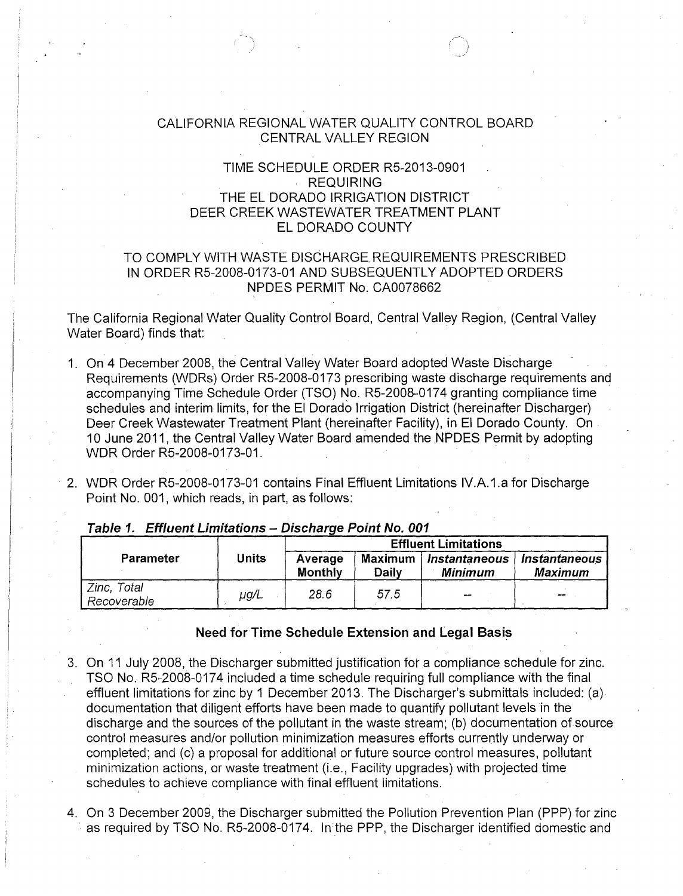## CALIFORNIA REGIONAL WATER QUALITY CONTROL BOARD CENTRAL VALLEY REGION

r-'  $\left( \begin{smallmatrix} 1\ 1\end{smallmatrix} \right)$ 

# TIME SCHEDULE ORDER R5-2013-0901 REQUIRING THE EL DORADO IRRIGATION DISTRICT DEER CREEK WASTEWATER TREATMENT PLANT ELDORADO COUNTY

## TO COMPLY WITH WASTE DISCHARGE. REQUIREMENTS PRESCRIBED IN ORDER R5-2008-0173-01 AND SUBSEQUENTLY ADOPTED ORDERS NPDES PERMIT No. CA0078662

The California Regional Water Quality Control Board, Central Valley Region, (Central Valley Water Board) finds that:

- 1. On 4 December 2008, the Central Valley Water Board adopted Waste Discharge Requirements (WDRs) Order R5-2008-0173 prescribing waste discharge requirements and accompanying Time Schedule Order (TSO) No. R5-2008-0174 granting compliance time schedules and interim limits, for the El Dorado Irrigation District (hereinafter Discharger) Deer Creek Wastewater Treatment Plant (hereinafter Facility), in El Dorado County. On . 10 June 2011, the Central Valley Water Board amended the NPDES Permit by adopting WDR Order R5-2008-0173-01.
- 2. WDR Order R5-2008-0173-01 contains Final Effluent Limitations IV.A.1.a for Discharge Point No. 001, which reads, in part, as follows:

|                            |           | <b>Effluent Limitations</b> |                  |                                 |                                 |  |
|----------------------------|-----------|-----------------------------|------------------|---------------------------------|---------------------------------|--|
| Parameter                  | Units     | Average<br><b>Monthly</b>   | Maximum<br>Daily | Instantaneous<br><b>Minimum</b> | Instantaneous<br><b>Maximum</b> |  |
| Zinc, Total<br>Recoverable | $\mu$ g/L | 28.6                        | 57.5             | $-$                             | $- -$                           |  |

**Table 1. Effluent Limitations- Discharge Point No. 001** 

#### **Need for Time Schedule Extension and Legal Basis**

- 3. On 11 July 2008, the Discharger submitted justification for a compliance schedule for zinc. TSO No. R5-2008-0174 included a time schedule requiring full compliance with the final effluent limitations for zinc by 1 December 2013. The Discharger's submittals included: (a) documentation that diligent efforts have been made to quantify pollutant levels in the discharge and the sources of the pollutant in the waste stream; (b) documentation of source control measures and/or pollution minimization measures efforts currently underway or completed; and (c) a proposal for additional or future source control measures, pollutant minimization actions, or waste treatment (i.e., Facility upgrades) with projected time schedules to achieve compliance with final effluent limitations.
- 4. On 3 December 2009, the Discharger submitted the Pollution Prevention Plan (PPP) for zinc as required by TSO No. R5-2008-0174. In the PPP, the Discharger identified domestic and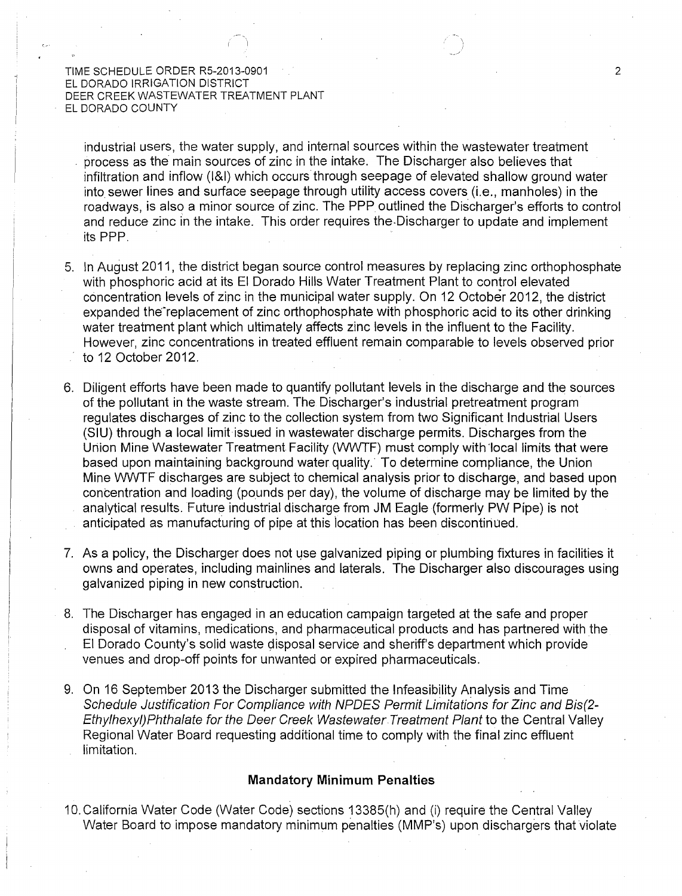industrial users, the water supply, and internal sources within the wastewater treatment process as the main sources of zinc in the intake. The Discharger also believes that infiltration and inflow (1&1) which occurs through seepage of elevated shallow ground water into sewer lines and surface seepage through utility access covers (i.e., manholes) in the roadways, is also a minor source of zinc. The PPP outlined the Discharger's efforts to control and reduce zinc in the intake. This order requires the Discharger to update and implement its PPP.

- 5. In August 2011, the district began source control measures by replacing zinc orthophosphate with phosphoric acid at its El Dorado Hills Water Treatment Plant to control elevated concentration levels of zinc in the municipal water supply. On 12 October 2012, the district expanded the replacement of zinc orthophosphate with phosphoric acid to its other drinking water treatment plant which ultimately affects zinc levels in the influent to the Facility. However, zinc concentrations in treated effluent remain comparable to levels observed prior to 12 October 2012.
- 6. Diligent efforts have been made to quantify pollutant levels in the discharge and the sources of the pollutant in the waste stream. The Discharger's industrial pretreatment program regulates discharges of zinc to the collection system from two Significant Industrial Users (SIU) through a local limit issued in wastewater discharge permits. Discharges from the Union Mine Wastewater Treatment Facility (WWTF) must comply with local limits that were based upon maintaining background water quality. To determine compliance, the Union Mine WWTF discharges are subject to chemical analysis prior to discharge, and based upon concentration and loading (pounds per day), the volume of discharge may be limited by the analytical results. Future industrial discharge from JM Eagle (formerly PW Pipe) is not anticipated as manufacturing of pipe at this location has been discontinued.
- 7. As a policy, the Discharger does not use galvanized piping or plumbing fixtures in facilities it owns and operates, including mainlines and laterals. The Discharger also discourages using galvanized piping in new construction.
- 8. The Discharger has engaged in an education campaign targeted at the safe and proper disposal of vitamins, medications, and pharmaceutical products and has partnered with the El Dorado County's solid waste disposal service and sheriff's department which provide venues and drop-off points for unwanted or expired pharmaceuticals.
- 9. On 16 September 2013 the Discharger submitted the Infeasibility Analysis and Time Schedule Justification For Compliance with NPDES Permit Limitations for Zinc and Bis(2- Ethylhexyi)Phthalate for the Deer Creek Wastewater Treatment Plant to the Central Valley Regional Water Board requesting additional time to comply with the final zinc effluent limitation.

### **Mandatory Minimum Penalties**

10. California Water Code (Water Code) sections 13385(h) and (i) require the Central Valley Water Board to impose mandatory minimum penalties (MMP's) upon dischargers that violate

 $\mathcal{P}$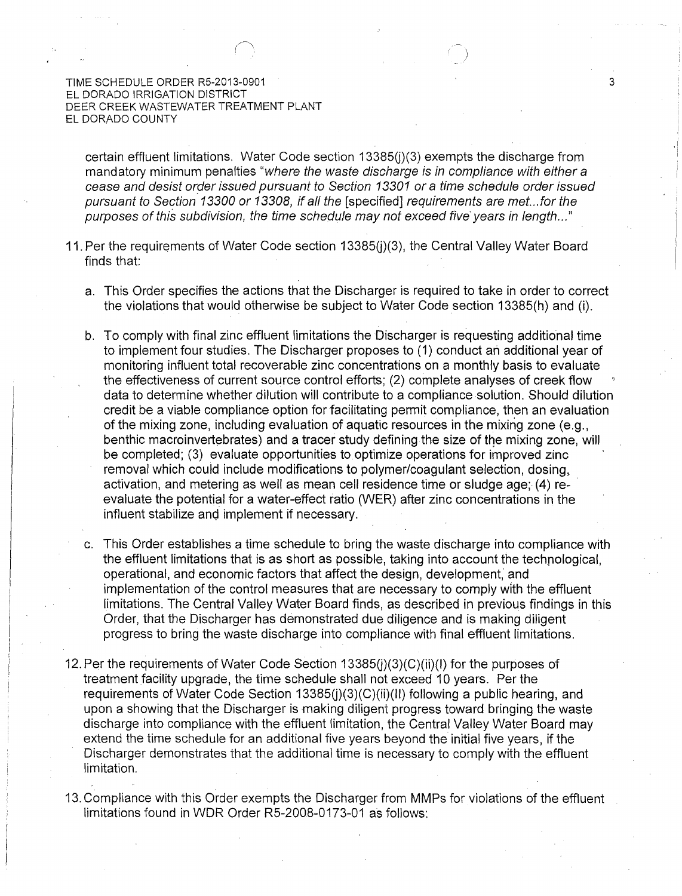certain effluent limitations. Water Code section 13385(i)(3) exempts the discharge from mandatory minimum penalties "where the waste discharge is in compliance with either a cease and desist order issued pursuant to Section 13301 or a time schedule order issued pursuant to Section 13300 or 13308, if all the [specified] requirements are met.. .for the purposes of this subdivision, the time schedule may not exceed five years in length..."

3

- 11. Per the requirements of Water Code section 13385(i)(3), the Central Valley Water Board finds that:
	- a. This Order specifies the actions that the Discharger is required to take in order to correct the violations that would otherwise be subject to Water Code section 13385(h) and (i).
	- b. To comply with final zinc effluent limitations the Discharger is requesting additional time to implement four studies. The Discharger proposes to (1) conduct ari additional year of monitoring influent total recoverable zinc concentrations on a monthly basis to evaluate the effectiveness of current source control efforts; (2) complete analyses of creek flow data to determine whether dilution will contribute to a compliance solution. Should dilution credit be a viable compliance option for facilitating permit compliance, then an evaluation of the mixing zone, including evaluation of aquatic resources in the mixing zone (e.g., benthic macroinvertebrates) and a tracer study defining the size of the mixing zone, will be completed; (3) evaluate opportunities to optimize operations for improved zinc removal which could include modifications to polymer/coagulant selection, dosing, activation, and metering as well as mean cell residence time or sludge age; (4) reevaluate the potential for a water-effect ratio (WER) after zinc concentrations in the influent stabilize and implement if necessary.
	- c. This Order establishes a time schedule to bring the waste discharge into compliance with the effluent limitations that is as short as possible, taking into account the technological, operational, and economic factors that affect the design, development, and implementation of the control measures that are necessary to comply with the effluent limitations. The Central Valley Water Board finds, as described in previous findings in this Order, that the Discharger has demonstrated due diligence and is making diligent progress to bring the waste discharge into compliance with final effluent limitations.
- 12. Per the requirements of Water Code Section  $13385(i)(3)(C)(ii)(l)$  for the purposes of treatment facility upgrade, the time schedule shall not exceed 10 years. Per the requirements of Water Code Section 13385(j)(3)(C)(ii)(II) following a public hearing, and upon a showing that the Discharger is making diligent progress toward bringing the waste discharge into compliance with the effluent limitation, the Central Valley Water Board may extend the time schedule for an additional five years beyond the initial five years, if the Discharger demonstrates that the additional time is necessary to comply with the effluent limitation.
- 13. Compliance with this Order exempts the Discharger from MMPs for violations of the effluent limitations found in WDR Order RS-2008-0173-01 as follows: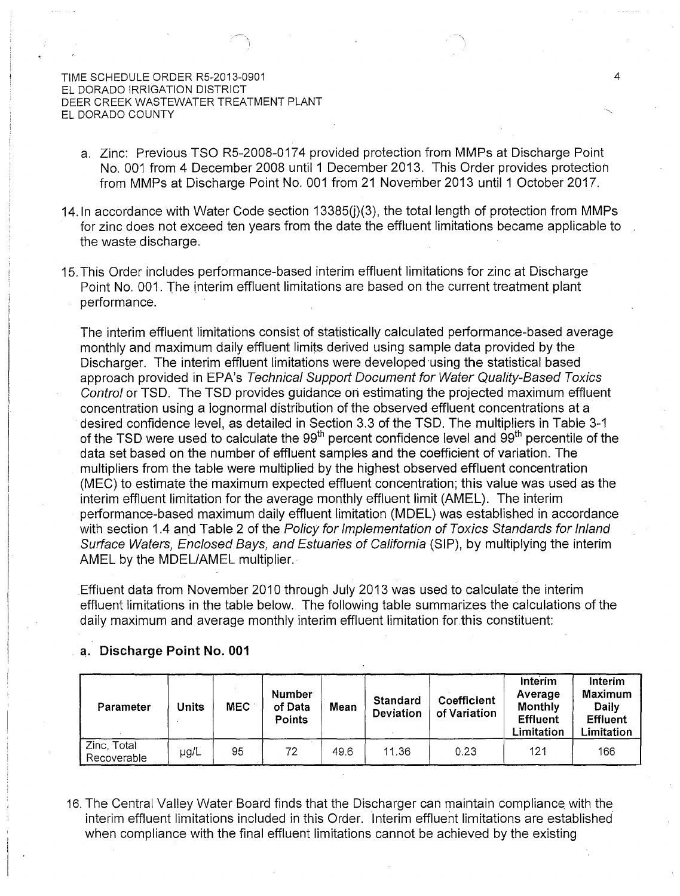a. Zinc: Previous TSO R5-2008-0174 provided protection from MMPs at Discharge Point No. 001 from 4 December 2008 until 1 December 2013. This Order provides protection from MMPs at Discharge Point No. 001 from 21 November 2013 until 1 October 2017.

4

- 14. In accordance with Water Code section 13385(i)(3), the total length of protection from MMPs for zinc does not exceed ten years from the date the effluent limitations became applicable to the waste discharge.
- 15. This Order includes performance-based interim effluent limitations for zinc at Discharge Point No. 001. The interim effluent limitations are based on the current treatment plant performance.

The interim effluent limitations consist of statistically calculated performance-based average monthly and maximum daily effluent limits derived using sample data provided by the Discharger. The interim effluent limitations were developed using the statistical based approach provided in EPA's Technical Support Document for Water Quality-Based Toxics Control or TSD. The TSD provides guidance on estimating the projected maximum effluent concentration using a lognormal distribution of the observed effluent concentrations at a desired confidence level, as detailed in Section 3.3 of the TSD. The multipliers in Table 3-1 of the TSD were used to calculate the 99<sup>th</sup> percent confidence level and 99<sup>th</sup> percentile of the data set based on the number of effluent samples and the coefficient of variation. The multipliers from the table were multiplied by the highest observed effluent concentration (MEC) to estimate the maximum expected effluent concentration; this value was used as the interim effluent limitation for the average monthly effluent limit (AMEL). The interim performance-based maximum daily effluent limitation (MDEL) was established in accordance with section 1.4 and Table 2 of the Policy for Implementation of Toxics Standards for Inland Surface Waters, Enclosed Bays, and Estuaries of California (SIP), by multiplying the interim AMEL by the MDEL/AMEL multiplier.

Effluent data from November 2010 through July 2013 was used to calculate the interim effluent limitations in the table below. The following table summarizes the calculations of the daily maximum and average monthly interim effluent limitation for.this constituent:

### a. Discharge Point No. 001

| Parameter                  | Jnits | <b>MEC</b> | <b>Number</b><br>of Data<br><b>Points</b> | Mean | <b>Standard</b><br>Deviation | <b>Coefficient</b><br>of Variation | Interim<br>Average<br><b>Monthly</b><br><b>Effluent</b><br>Limitation | Interim<br><b>Maximum</b><br>Daily<br><b>Effluent</b><br>Limitation |
|----------------------------|-------|------------|-------------------------------------------|------|------------------------------|------------------------------------|-----------------------------------------------------------------------|---------------------------------------------------------------------|
| Zinc, Total<br>Recoverable | µg/L  | 95         | 72                                        | 49.6 | 11.36                        | 0.23                               | 121                                                                   | 166                                                                 |

16. The Central Valley Water Board finds that the Discharger can maintain compliance with the interim effluent limitations included in this Order. Interim effluent limitations are established when compliance with the final effluent limitations cannot be achieved by the existing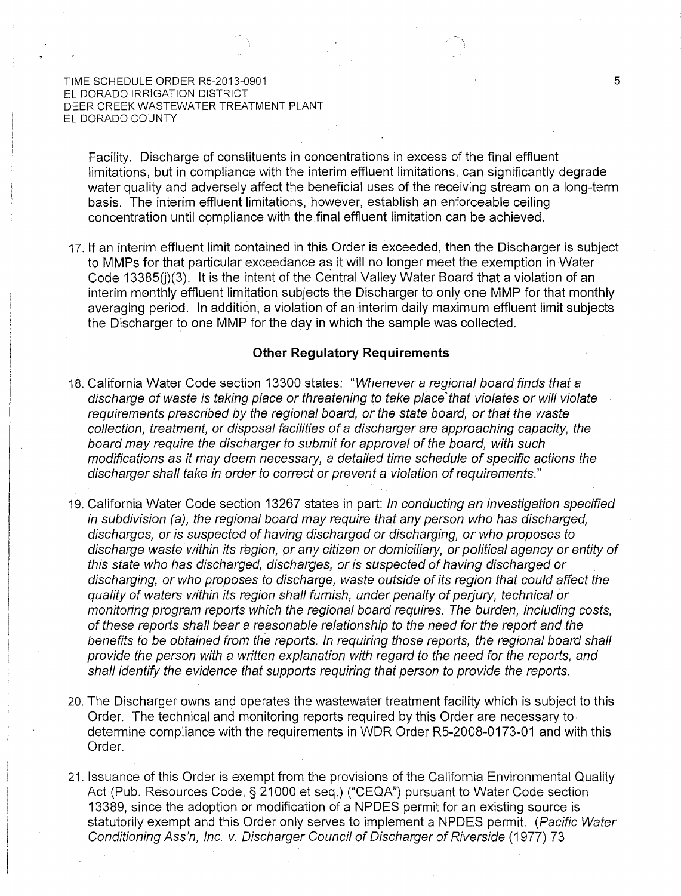Facility. Discharge of constituents in concentrations in excess of the final effluent limitations, but in compliance with the interim effluent limitations, can significantly degrade water quality and adversely affect the beneficial uses of the receiving stream on a long-term basis. The interim effluent limitations, however, establish an enforceable ceiling concentration until compliance with the final effluent limitation can be achieved.

17. If an interim effluent limit contained in this Order is exceeded, then the Discharger is subject to MMPs for that particular exceedance as it will no longer meet the exemption in Water Code 13385(i)(3). It is the intent of the Central Valley Water Board that a violation of an interim monthly effluent limitation subjects the Discharger to only one MMP for that monthly averaging period. In addition, a violation of an interim daily maximum effluent limit subjects the Discharger to one MMP for the day in which the sample was collected.

#### **Other Regulatory Requirements**

- 18. California Water Code section 13300 states: "Whenever a regional board finds that a discharge of waste is taking place or threatening to take place that violates or will violate requirements prescribed by the regional board, or the state board, or that the waste collection, treatment, or disposal facilities of a discharger are approaching capacity, the board may require the discharger to submit for approval of the board, with such modifications as it may deem necessary, a detailed time schedule of specific actions the discharger shall take in order to correct or prevent a violation of requirements."
- 19. California Water Code section 13267 states in part: In conducting an investigation specified in subdivision (a), the regional board may require that any person who has discharged, discharges, or is suspected of having discharged or discharging, or who proposes to discharge waste within its region, or any citizen or domiciliary, or political agency or entity of this state who has discharged, discharges, or is suspected of having discharged or discharging, or who proposes to discharge, waste outside of its region that could affect the quality of waters within its region shall furnish, under penalty of perjury, technical or monitoring program reports which the regional board requires. The burden, including costs, of these reports shall bear a reasonable relationship to the need for the report and the benefits to be obtained from the reports. In requiring those reports, the regional board shall provide the person with a written explanation with regard to the need for the reports, and shall identify the evidence that supports requiring that person to provide the reports.
- 20. The Discharger owns and operates the wastewater treatment facility which is subject to this Order. The technical and monitoring reports required by this Order are necessary to determine compliance with the requirements in WDR Order R5-2008-0173-01 and with this Order.
- 21. Issuance of this Order is exempt from the provisions of the California Environmental Quality Act (Pub. Resources Code, § 21000 et seq.) ("CEOA") pursuant to Water Code section 13389, since the adoption or modification of a NPDES permit for an existing source is statutorily exempt and this Order only serves to implement a NPDES permit. (Pacific Water Conditioning Ass'n, Inc. v. Discharger Council of Discharger of Riverside (1977) 73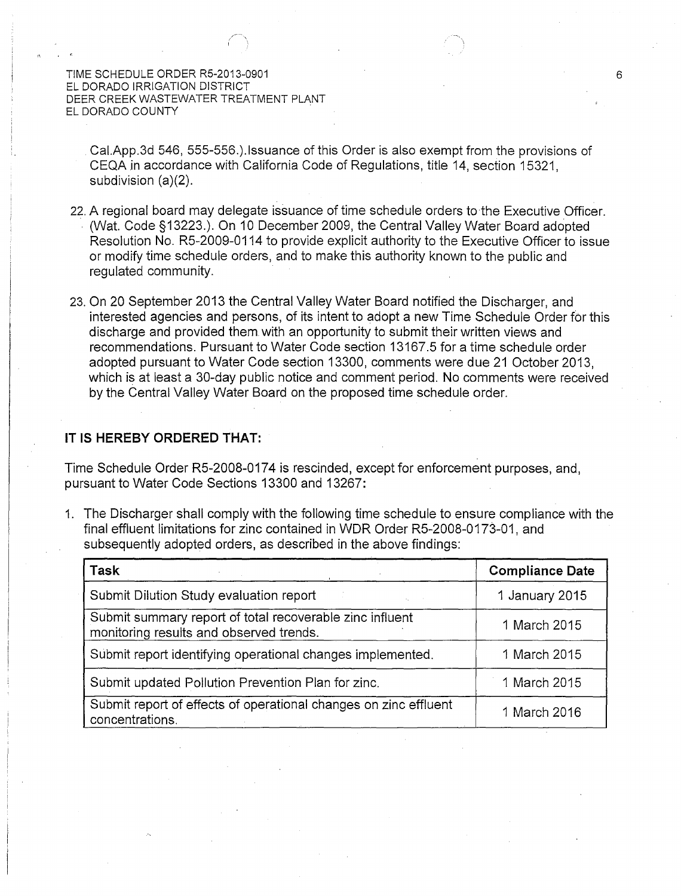Cai.App.3d 546, 555-556.).1ssuance of this Order is also exempt from the provisions of CEQA in accordance with California Code of Regulations, title 14, section 15321, subdivision (a)(2).

- 22. A regional board may delegate issuance of time schedule orders to the Executive Officer. (Wat. Code §13223.). On 10 December 2009, the Central Valley Water Board adopted Resolution No. R5-2009-0114 to provide explicit authority to the Executive Officer to issue or modify time schedule orders, and to make this authority known to the public and regulated community.
- 23. On 20 September 2013 the Central Valley Water Board notified the Discharger, and interested agencies and persons, of its intent to adopt a new Time Schedule Order for this discharge and provided them with an opportunity to submit their written views and recommendations. Pursuant to Water Code section 13167.5 for a time schedule order adopted pursuant to Water Code section 13300, comments were due 21 October 2013, which is at least a 30-day public notice and comment period. No comments were received by the Central Valley Water Board on the proposed time schedule order.

## **IT IS HEREBY ORDERED THAT:**

Time Schedule Order R5-2008-0174 is rescinded, except for enforcement purposes, and, pursuant to Water Code Sections 13300 and 13267:

1. The Discharger shall comply with the following time schedule to ensure compliance with the final effluent limitations for zinc contained in WDR Order R5-2008-0173-01, and subsequently adopted orders, as described in the above findings:

| Task                                                                                                | <b>Compliance Date</b> |
|-----------------------------------------------------------------------------------------------------|------------------------|
| Submit Dilution Study evaluation report                                                             | 1 January 2015         |
| Submit summary report of total recoverable zinc influent<br>monitoring results and observed trends. | 1 March 2015           |
| Submit report identifying operational changes implemented.                                          | 1 March 2015           |
| Submit updated Pollution Prevention Plan for zinc.                                                  | 1 March 2015           |
| Submit report of effects of operational changes on zinc effluent<br>concentrations.                 | 1 March 2016           |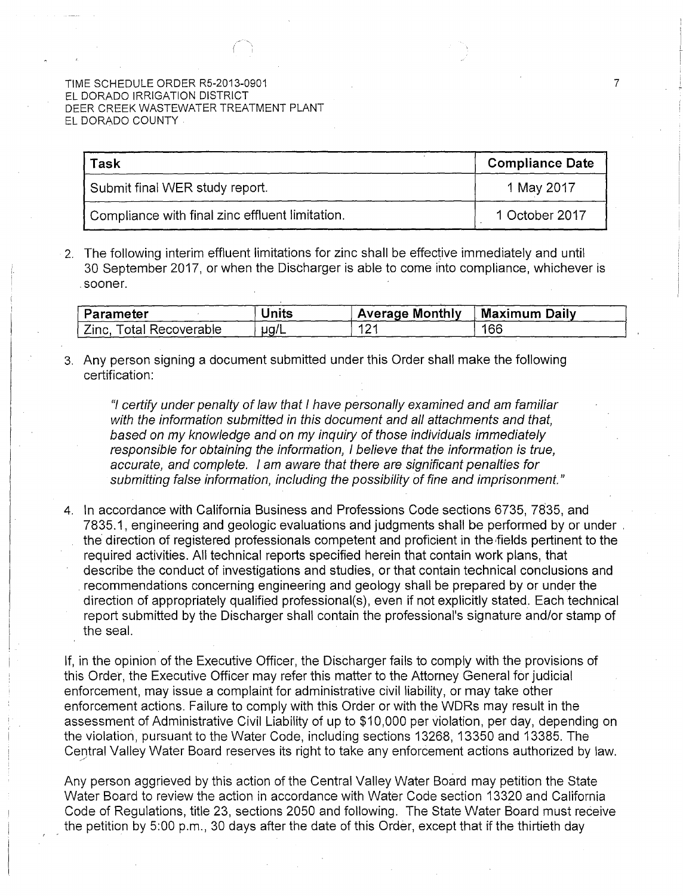| Task                                            | <b>Compliance Date</b> |
|-------------------------------------------------|------------------------|
| Submit final WER study report.                  | 1 May 2017             |
| Compliance with final zinc effluent limitation. | 1 October 2017         |

7

2. The following interim effluent limitations for zinc shall be effective immediately and until 30 September 2017, or when the Discharger is able to come into compliance, whichever is . sooner.

| Parameter                  | Units     | <b>Average Monthly</b> | <b>Maximum Daily</b> |
|----------------------------|-----------|------------------------|----------------------|
| Zinc.<br>Total Recoverable | $\mu$ g/L | 10,<br>' 4             | 166                  |

3. Any person signing a document submitted under this Order shall make the following certification:

"I certify under penalty of law that I have personally examined and am familiar with the information submitted in this document and all attachments and that, based on my knowledge and on my inquiry of those individuals immediately responsible for obtaining the information, I believe that the information is true, accurate, and complete. I am aware that there are significant penalties for submitting false information, including the possibility of fine and imprisonment."

4. In accordance with California Business and Professions Code sections 6735, 78.35, and 7835.1, engineering and geologic evaluations and judgments shall be performed by or under . the direction of registered professionals competent and proficient in the fields pertinent to the required activities. All technical reports specified herein that contain work plans, that describe the conduct of investigations and studies, or that contain technical conclusions and recommendations concerning engineering and geology shall be prepared by or under the direction of appropriately qualified professional(s), even if not explicitly stated. Each technical report submitted by the Discharger shall contain the professional's signature and/or stamp of the seal.

If, in the opinion of the Executive Officer, the Discharger fails to comply with the provisions of this Order, the Executive Officer may refer this matter to the Attorney General for judicial enforcement, may issue a complaint for administrative civil liability, or may take other enforcement actions. Failure to comply with this Order or with the WDRs may result in the assessment of Administrative Civil Liability of up to \$10,000 per violation, per day, depending on the violation, pursuant to the Water Code, including sections 13268, 13350 and 13385. The Central Valley Water Board reserves its right to take any enforcement actions authorized by law.

Any person aggrieved by this action of the Central Valley Water Board may petition the State Water Board to review the action in accordance with Water Code section 13320 and California Code of Regulations, title 23, sections 2050 and following. The State Water Board must receive the petition by 5:00 p.m., 30 days after the date of this Order, except that if the thirtieth day